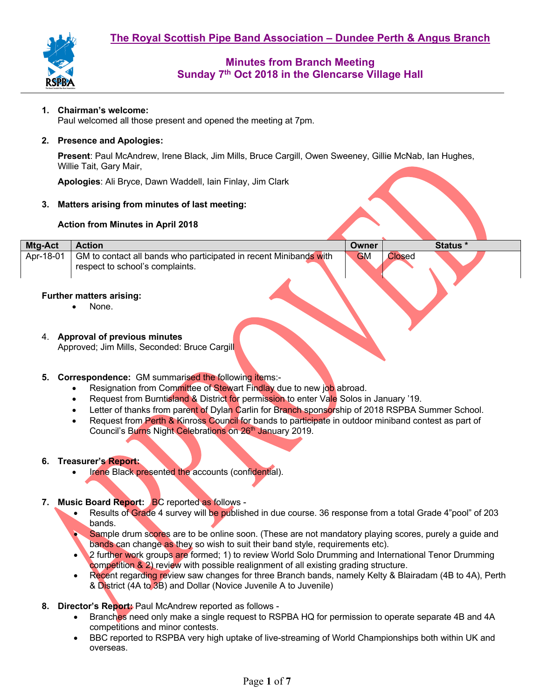

## **1. Chairman's welcome:**

Paul welcomed all those present and opened the meeting at 7pm.

### **2. Presence and Apologies:**

**Present**: Paul McAndrew, Irene Black, Jim Mills, Bruce Cargill, Owen Sweeney, Gillie McNab, Ian Hughes, Willie Tait, Gary Mair,

**Apologies**: Ali Bryce, Dawn Waddell, Iain Finlay, Jim Clark

#### **3. Matters arising from minutes of last meeting:**

#### **Action from Minutes in April 2018**

| <b>Mtg-Act</b> | <b>Action</b>                                                                                        | Owner     |        | <b>Status</b> * |
|----------------|------------------------------------------------------------------------------------------------------|-----------|--------|-----------------|
| Apr-18-01      | GM to contact all bands who participated in recent Minibands with<br>respect to school's complaints. | <b>GM</b> | Closed |                 |

#### **Further matters arising:**

None.

# 4. **Approval of previous minutes**

Approved; Jim Mills, Seconded: Bruce Cargill

- **5. Correspondence:** GM summarised the following items:-
	- Resignation from Committee of Stewart Findlay due to new job abroad.
	- Request from Burntisland & District for permission to enter Vale Solos in January '19.
	- Letter of thanks from parent of Dylan Carlin for Branch sponsorship of 2018 RSPBA Summer School.
	- Request from Perth & Kinross Council for bands to participate in outdoor miniband contest as part of Council's Burns Night Celebrations on 26<sup>th</sup> January 2019.

#### **6. Treasurer's Report:**

Irene Black presented the accounts (confidential).

## **7. Music Board Report:** BC reported as follows -

- Results of Grade 4 survey will be published in due course. 36 response from a total Grade 4"pool" of 203 bands.
- Sample drum scores are to be online soon. (These are not mandatory playing scores, purely a guide and bands can change as they so wish to suit their band style, requirements etc).
- 2 further work groups are formed; 1) to review World Solo Drumming and International Tenor Drumming competition & 2) review with possible realignment of all existing grading structure.
- Recent regarding review saw changes for three Branch bands, namely Kelty & Blairadam (4B to 4A), Perth & District (4A to 3B) and Dollar (Novice Juvenile A to Juvenile)
- **8. Director's Report:** Paul McAndrew reported as follows
	- Branches need only make a single request to RSPBA HQ for permission to operate separate 4B and 4A competitions and minor contests.
	- BBC reported to RSPBA very high uptake of live-streaming of World Championships both within UK and overseas.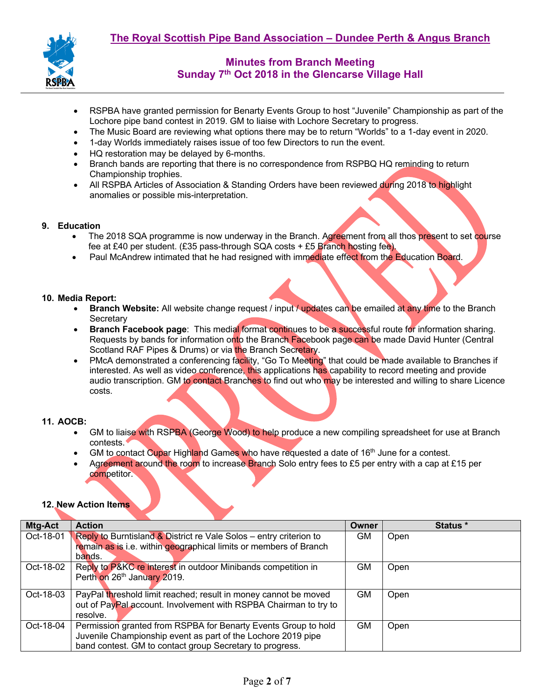

- RSPBA have granted permission for Benarty Events Group to host "Juvenile" Championship as part of the Lochore pipe band contest in 2019. GM to liaise with Lochore Secretary to progress.
- The Music Board are reviewing what options there may be to return "Worlds" to a 1-day event in 2020.
- 1-day Worlds immediately raises issue of too few Directors to run the event.
- HQ restoration may be delayed by 6-months.
- Branch bands are reporting that there is no correspondence from RSPBQ HQ reminding to return Championship trophies.
- All RSPBA Articles of Association & Standing Orders have been reviewed during 2018 to highlight anomalies or possible mis-interpretation.

#### **9. Education**

- The 2018 SQA programme is now underway in the Branch. Agreement from all thos present to set course fee at £40 per student. (£35 pass-through SQA costs + £5 Branch hosting fee).
- Paul McAndrew intimated that he had resigned with immediate effect from the Education Board.

#### **10. Media Report:**

- **Branch Website:** All website change request / input / updates can be emailed at any time to the Branch **Secretary**
- **Branch Facebook page**: This medial format continues to be a successful route for information sharing. Requests by bands for information onto the Branch Facebook page can be made David Hunter (Central Scotland RAF Pipes & Drums) or via the Branch Secretary.
- PMcA demonstrated a conferencing facility, "Go To Meeting" that could be made available to Branches if interested. As well as video conference, this applications has capability to record meeting and provide audio transcription. GM to contact Branches to find out who may be interested and willing to share Licence costs.

#### **11. AOCB:**

- GM to liaise with RSPBA (George Wood) to help produce a new compiling spreadsheet for use at Branch contests.
- GM to contact Cupar Highland Games who have requested a date of 16<sup>th</sup> June for a contest.
- Agreement around the room to increase Branch Solo entry fees to £5 per entry with a cap at £15 per competitor.

# **12. New Action Items**

| Mtg-Act   | <b>Action</b>                                                      | <b>Owner</b> | Status * |
|-----------|--------------------------------------------------------------------|--------------|----------|
| Oct-18-01 | Reply to Burntisland & District re Vale Solos - entry criterion to | <b>GM</b>    | Open     |
|           | remain as is i.e. within geographical limits or members of Branch  |              |          |
|           | bands.                                                             |              |          |
| Oct-18-02 | Reply to P&KC re interest in outdoor Minibands competition in      | GM.          | Open     |
|           | Perth on 26th January 2019.                                        |              |          |
|           |                                                                    |              |          |
| Oct-18-03 | PayPal threshold limit reached; result in money cannot be moved    | <b>GM</b>    | Open     |
|           | out of PayPal account. Involvement with RSPBA Chairman to try to   |              |          |
|           | resolve.                                                           |              |          |
| Oct-18-04 | Permission granted from RSPBA for Benarty Events Group to hold     | GM           | Open     |
|           | Juvenile Championship event as part of the Lochore 2019 pipe       |              |          |
|           | band contest. GM to contact group Secretary to progress.           |              |          |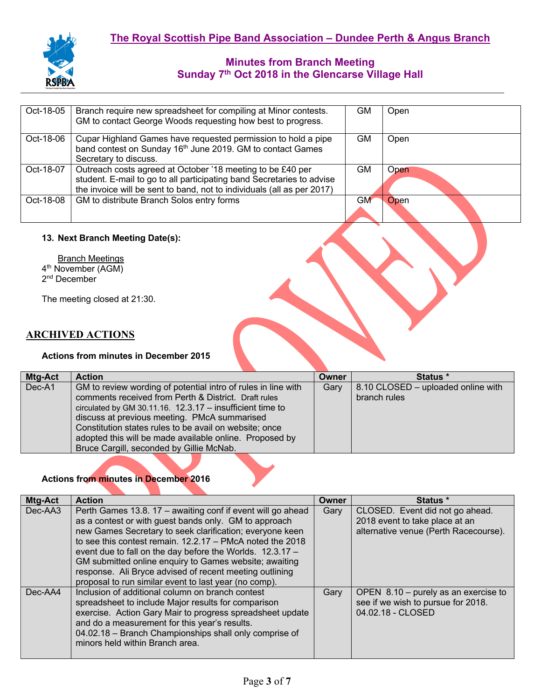

| Oct-18-05 | Branch require new spreadsheet for compiling at Minor contests.<br>GM to contact George Woods requesting how best to progress.                                                                                | <b>GM</b> | Open |
|-----------|---------------------------------------------------------------------------------------------------------------------------------------------------------------------------------------------------------------|-----------|------|
| Oct-18-06 | Cupar Highland Games have requested permission to hold a pipe<br>band contest on Sunday 16 <sup>th</sup> June 2019. GM to contact Games<br>Secretary to discuss.                                              | <b>GM</b> | Open |
| Oct-18-07 | Outreach costs agreed at October '18 meeting to be £40 per<br>student. E-mail to go to all participating band Secretaries to advise<br>the invoice will be sent to band, not to individuals (all as per 2017) | GM.       | Open |
| Oct-18-08 | GM to distribute Branch Solos entry forms                                                                                                                                                                     | <b>GM</b> | Open |

## **13. Next Branch Meeting Date(s):**

**Branch Meetings** 4<sup>th</sup> November (AGM) 2<sup>nd</sup> December

The meeting closed at 21:30.

# **ARCHIVED ACTIONS**

#### **Actions from minutes in December 2015**

| <b>Mtg-Act</b> | <b>Action</b>                                                 | <b>Owner</b> | Status *                           |
|----------------|---------------------------------------------------------------|--------------|------------------------------------|
| Dec-A1         | GM to review wording of potential intro of rules in line with | Gary         | 8.10 CLOSED – uploaded online with |
|                | comments received from Perth & District. Draft rules          |              | branch rules                       |
|                | circulated by GM 30.11.16. $12.3.17 -$ insufficient time to   |              |                                    |
|                | discuss at previous meeting. PMcA summarised                  |              |                                    |
|                | Constitution states rules to be avail on website; once        |              |                                    |
|                | adopted this will be made available online. Proposed by       |              |                                    |
|                | Bruce Cargill, seconded by Gillie McNab.                      |              |                                    |

## **Actions from minutes in December 2016**

| Mtg-Act | <b>Action</b>                                               | Owner | Status *                               |
|---------|-------------------------------------------------------------|-------|----------------------------------------|
| Dec-AA3 | Perth Games 13.8. 17 – awaiting conf if event will go ahead | Gary  | CLOSED. Event did not go ahead.        |
|         | as a contest or with guest bands only. GM to approach       |       | 2018 event to take place at an         |
|         | new Games Secretary to seek clarification; everyone keen    |       | alternative venue (Perth Racecourse).  |
|         | to see this contest remain, $12.2.17$ – PMcA noted the 2018 |       |                                        |
|         | event due to fall on the day before the Worlds. 12.3.17 -   |       |                                        |
|         | GM submitted online enquiry to Games website; awaiting      |       |                                        |
|         | response. Ali Bryce advised of recent meeting outlining     |       |                                        |
|         | proposal to run similar event to last year (no comp).       |       |                                        |
| Dec-AA4 | Inclusion of additional column on branch contest            | Gary  | OPEN $8.10$ – purely as an exercise to |
|         | spreadsheet to include Major results for comparison         |       | see if we wish to pursue for 2018.     |
|         | exercise. Action Gary Mair to progress spreadsheet update   |       | 04.02.18 - CLOSED                      |
|         | and do a measurement for this year's results.               |       |                                        |
|         | 04.02.18 - Branch Championships shall only comprise of      |       |                                        |
|         | minors held within Branch area.                             |       |                                        |
|         |                                                             |       |                                        |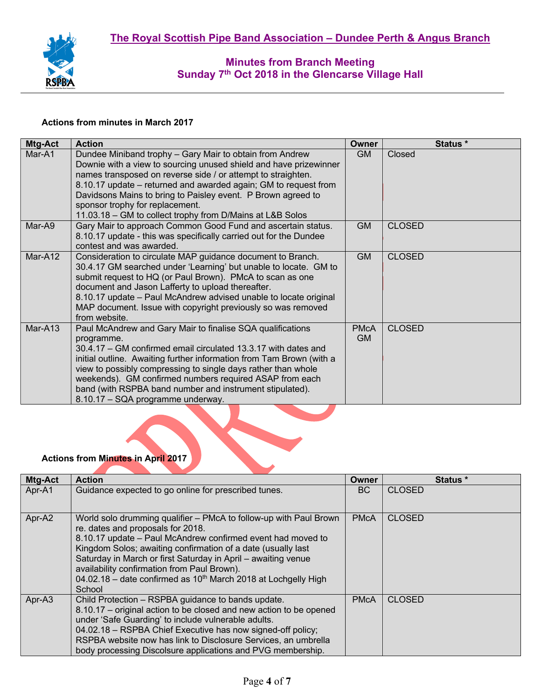

#### **Actions from minutes in March 2017**

| Mtg-Act | <b>Action</b>                                                                                                                                                                                                                                                                                                                                                                                                                                   | Owner                    | Status *      |
|---------|-------------------------------------------------------------------------------------------------------------------------------------------------------------------------------------------------------------------------------------------------------------------------------------------------------------------------------------------------------------------------------------------------------------------------------------------------|--------------------------|---------------|
| Mar-A1  | Dundee Miniband trophy - Gary Mair to obtain from Andrew<br>Downie with a view to sourcing unused shield and have prizewinner<br>names transposed on reverse side / or attempt to straighten.<br>8.10.17 update – returned and awarded again; GM to request from<br>Davidsons Mains to bring to Paisley event. P Brown agreed to<br>sponsor trophy for replacement.<br>11.03.18 – GM to collect trophy from D/Mains at L&B Solos                | <b>GM</b>                | Closed        |
| Mar-A9  | Gary Mair to approach Common Good Fund and ascertain status.<br>8.10.17 update - this was specifically carried out for the Dundee<br>contest and was awarded.                                                                                                                                                                                                                                                                                   | <b>GM</b>                | <b>CLOSED</b> |
| Mar-A12 | Consideration to circulate MAP guidance document to Branch.<br>30.4.17 GM searched under 'Learning' but unable to locate. GM to<br>submit request to HQ (or Paul Brown). PMcA to scan as one<br>document and Jason Lafferty to upload thereafter.<br>8.10.17 update - Paul McAndrew advised unable to locate original<br>MAP document. Issue with copyright previously so was removed<br>from website.                                          | <b>GM</b>                | <b>CLOSED</b> |
| Mar-A13 | Paul McAndrew and Gary Mair to finalise SQA qualifications<br>programme.<br>30.4.17 – GM confirmed email circulated 13.3.17 with dates and<br>initial outline. Awaiting further information from Tam Brown (with a<br>view to possibly compressing to single days rather than whole<br>weekends). GM confirmed numbers required ASAP from each<br>band (with RSPBA band number and instrument stipulated).<br>8.10.17 - SQA programme underway. | <b>PMcA</b><br><b>GM</b> | <b>CLOSED</b> |

# **Actions from Minutes in April 2017**

| <b>Mtg-Act</b> | <b>Action</b>                                                                                                                | Owner       | <b>Status</b> * |
|----------------|------------------------------------------------------------------------------------------------------------------------------|-------------|-----------------|
| Apr-A1         | Guidance expected to go online for prescribed tunes.                                                                         | BC.         | <b>CLOSED</b>   |
|                |                                                                                                                              |             |                 |
| Apr-A2         | World solo drumming qualifier - PMcA to follow-up with Paul Brown                                                            | <b>PMcA</b> | <b>CLOSED</b>   |
|                | re. dates and proposals for 2018.                                                                                            |             |                 |
|                | 8.10.17 update – Paul McAndrew confirmed event had moved to<br>Kingdom Solos; awaiting confirmation of a date (usually last) |             |                 |
|                | Saturday in March or first Saturday in April – awaiting venue                                                                |             |                 |
|                | availability confirmation from Paul Brown).                                                                                  |             |                 |
|                | 04.02.18 – date confirmed as $10^{th}$ March 2018 at Lochgelly High                                                          |             |                 |
|                | School                                                                                                                       |             |                 |
| Apr-A3         | Child Protection - RSPBA guidance to bands update.                                                                           | <b>PMcA</b> | <b>CLOSED</b>   |
|                | 8.10.17 – original action to be closed and new action to be opened                                                           |             |                 |
|                | under 'Safe Guarding' to include vulnerable adults.                                                                          |             |                 |
|                | 04.02.18 - RSPBA Chief Executive has now signed-off policy;                                                                  |             |                 |
|                | RSPBA website now has link to Disclosure Services, an umbrella                                                               |             |                 |
|                | body processing Discolsure applications and PVG membership.                                                                  |             |                 |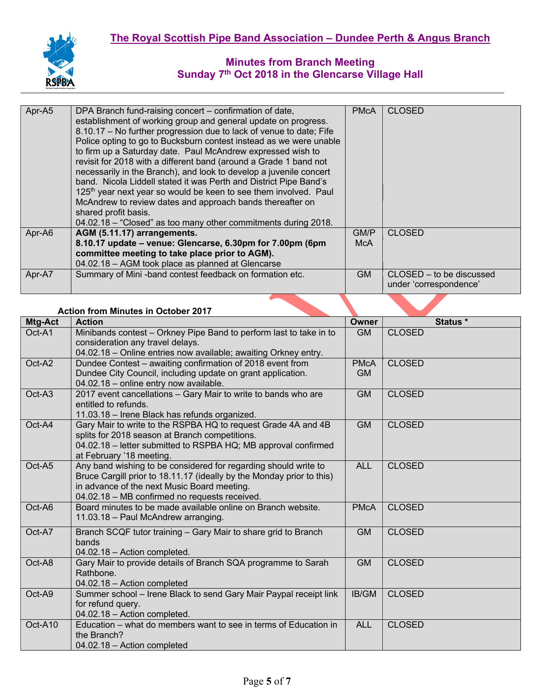

| Apr-A5 | DPA Branch fund-raising concert – confirmation of date,                      | <b>PMcA</b> | <b>CLOSED</b>            |
|--------|------------------------------------------------------------------------------|-------------|--------------------------|
|        | establishment of working group and general update on progress.               |             |                          |
|        | 8.10.17 - No further progression due to lack of venue to date; Fife          |             |                          |
|        |                                                                              |             |                          |
|        | Police opting to go to Bucksburn contest instead as we were unable           |             |                          |
|        | to firm up a Saturday date. Paul McAndrew expressed wish to                  |             |                          |
|        | revisit for 2018 with a different band (around a Grade 1 band not            |             |                          |
|        | necessarily in the Branch), and look to develop a juvenile concert           |             |                          |
|        | band. Nicola Liddell stated it was Perth and District Pipe Band's            |             |                          |
|        | 125 <sup>th</sup> year next year so would be keen to see them involved. Paul |             |                          |
|        | McAndrew to review dates and approach bands thereafter on                    |             |                          |
|        | shared profit basis.                                                         |             |                          |
|        | 04.02.18 - "Closed" as too many other commitments during 2018.               |             |                          |
| Apr-A6 | AGM (5.11.17) arrangements.                                                  | GM/P        | <b>CLOSED</b>            |
|        | 8.10.17 update - venue: Glencarse, 6.30pm for 7.00pm (6pm                    | McA         |                          |
|        |                                                                              |             |                          |
|        | 04.02.18 - AGM took place as planned at Glencarse                            |             |                          |
| Apr-A7 | Summary of Mini-band contest feedback on formation etc.                      | <b>GM</b>   | CLOSED – to be discussed |
|        |                                                                              |             | under 'correspondence'   |
|        | committee meeting to take place prior to AGM).                               |             |                          |

## **Action from Minutes in October 2017**

| Mtg-Act | <b>Action</b>                                                                                                                                                                                                                            | Owner                    | Status *      |
|---------|------------------------------------------------------------------------------------------------------------------------------------------------------------------------------------------------------------------------------------------|--------------------------|---------------|
| Oct-A1  | Minibands contest - Orkney Pipe Band to perform last to take in to<br>consideration any travel delays.<br>04.02.18 - Online entries now available; awaiting Orkney entry.                                                                | <b>GM</b>                | <b>CLOSED</b> |
| Oct-A2  | Dundee Contest - awaiting confirmation of 2018 event from<br>Dundee City Council, including update on grant application.<br>04.02.18 - online entry now available.                                                                       | <b>PMcA</b><br><b>GM</b> | <b>CLOSED</b> |
| Oct-A3  | 2017 event cancellations - Gary Mair to write to bands who are<br>entitled to refunds.<br>11.03.18 - Irene Black has refunds organized.                                                                                                  | <b>GM</b>                | <b>CLOSED</b> |
| Oct-A4  | Gary Mair to write to the RSPBA HQ to request Grade 4A and 4B<br>splits for 2018 season at Branch competitions.<br>04.02.18 - letter submitted to RSPBA HQ; MB approval confirmed<br>at February '18 meeting.                            | <b>GM</b>                | <b>CLOSED</b> |
| Oct-A5  | Any band wishing to be considered for regarding should write to<br>Bruce Cargill prior to 18.11.17 (ideally by the Monday prior to this)<br>in advance of the next Music Board meeting.<br>04.02.18 - MB confirmed no requests received. | <b>ALL</b>               | <b>CLOSED</b> |
| Oct-A6  | Board minutes to be made available online on Branch website.<br>11.03.18 - Paul McAndrew arranging.                                                                                                                                      | <b>PMcA</b>              | <b>CLOSED</b> |
| Oct-A7  | Branch SCQF tutor training - Gary Mair to share grid to Branch<br>bands<br>04.02.18 - Action completed.                                                                                                                                  | <b>GM</b>                | <b>CLOSED</b> |
| Oct-A8  | Gary Mair to provide details of Branch SQA programme to Sarah<br>Rathbone.<br>04.02.18 - Action completed                                                                                                                                | <b>GM</b>                | <b>CLOSED</b> |
| Oct-A9  | Summer school - Irene Black to send Gary Mair Paypal receipt link<br>for refund query.<br>04.02.18 - Action completed.                                                                                                                   | IB/GM                    | <b>CLOSED</b> |
| Oct-A10 | Education – what do members want to see in terms of Education in<br>the Branch?<br>04.02.18 - Action completed                                                                                                                           | <b>ALL</b>               | <b>CLOSED</b> |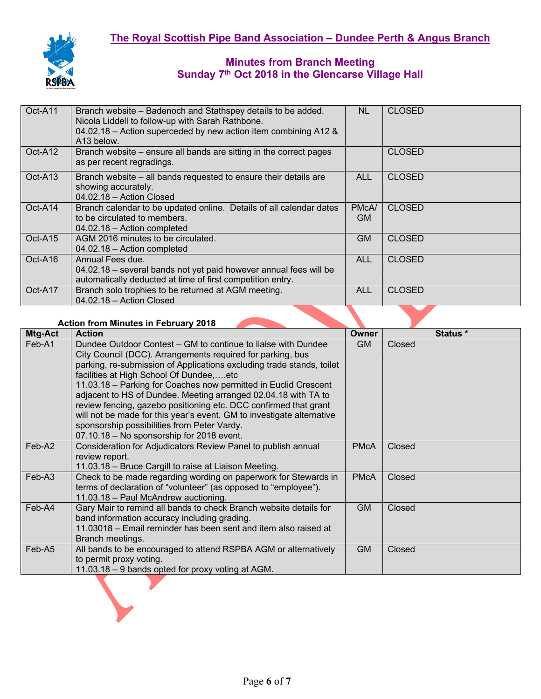

| Oct-A11             | Branch website – Badenoch and Stathspey details to be added.<br>Nicola Liddell to follow-up with Sarah Rathbone.<br>04.02.18 – Action superceded by new action item combining A12 &<br>A13 below. | NL.         | <b>CLOSED</b> |
|---------------------|---------------------------------------------------------------------------------------------------------------------------------------------------------------------------------------------------|-------------|---------------|
| Oct-A12             | Branch website – ensure all bands are sitting in the correct pages<br>as per recent regradings.                                                                                                   |             | <b>CLOSED</b> |
| Oct-A <sub>13</sub> | Branch website - all bands requested to ensure their details are<br>showing accurately.<br>$04.02.18 -$ Action Closed                                                                             | <b>ALL</b>  | <b>CLOSED</b> |
| Oct-A14             | Branch calendar to be updated online. Details of all calendar dates<br>to be circulated to members.<br>04.02.18 - Action completed                                                                | PMcA/<br>GM | <b>CLOSED</b> |
| Oct-A15             | AGM 2016 minutes to be circulated.<br>04.02.18 - Action completed                                                                                                                                 | <b>GM</b>   | <b>CLOSED</b> |
| Oct-A16             | Annual Fees due.<br>04.02.18 - several bands not yet paid however annual fees will be<br>automatically deducted at time of first competition entry.                                               | <b>ALL</b>  | <b>CLOSED</b> |
| Oct-A17             | Branch solo trophies to be returned at AGM meeting.<br>04.02.18 - Action Closed                                                                                                                   | <b>ALL</b>  | <b>CLOSED</b> |

#### **Action from Minutes in February 2018**

| <b>Mtg-Act</b> | <b>Action</b>                                                                                                                                                                                                                                                                                                                                                                                                                                                                                                                                                                                                                 | <b>Owner</b> | Status * |
|----------------|-------------------------------------------------------------------------------------------------------------------------------------------------------------------------------------------------------------------------------------------------------------------------------------------------------------------------------------------------------------------------------------------------------------------------------------------------------------------------------------------------------------------------------------------------------------------------------------------------------------------------------|--------------|----------|
| Feb-A1         | Dundee Outdoor Contest – GM to continue to liaise with Dundee<br>City Council (DCC). Arrangements required for parking, bus<br>parking, re-submission of Applications excluding trade stands, toilet<br>facilities at High School Of Dundee,etc<br>11.03.18 – Parking for Coaches now permitted in Euclid Crescent<br>adjacent to HS of Dundee. Meeting arranged 02.04.18 with TA to<br>review fencing, gazebo positioning etc. DCC confirmed that grant<br>will not be made for this year's event. GM to investigate alternative<br>sponsorship possibilities from Peter Vardy.<br>07.10.18 - No sponsorship for 2018 event. | <b>GM</b>    | Closed   |
| Feb-A2         | Consideration for Adjudicators Review Panel to publish annual<br>review report.<br>11.03.18 – Bruce Cargill to raise at Liaison Meeting.                                                                                                                                                                                                                                                                                                                                                                                                                                                                                      | <b>PMcA</b>  | Closed   |
| Feb-A3         | Check to be made regarding wording on paperwork for Stewards in<br>terms of declaration of "volunteer" (as opposed to "employee").<br>11.03.18 - Paul McAndrew auctioning.                                                                                                                                                                                                                                                                                                                                                                                                                                                    | <b>PMcA</b>  | Closed   |
| Feb-A4         | Gary Mair to remind all bands to check Branch website details for<br>band information accuracy including grading.<br>11.03018 – Email reminder has been sent and item also raised at<br>Branch meetings.                                                                                                                                                                                                                                                                                                                                                                                                                      | <b>GM</b>    | Closed   |
| Feb-A5         | All bands to be encouraged to attend RSPBA AGM or alternatively<br>to permit proxy voting.<br>11.03.18 – 9 bands opted for proxy voting at AGM.                                                                                                                                                                                                                                                                                                                                                                                                                                                                               | <b>GM</b>    | Closed   |